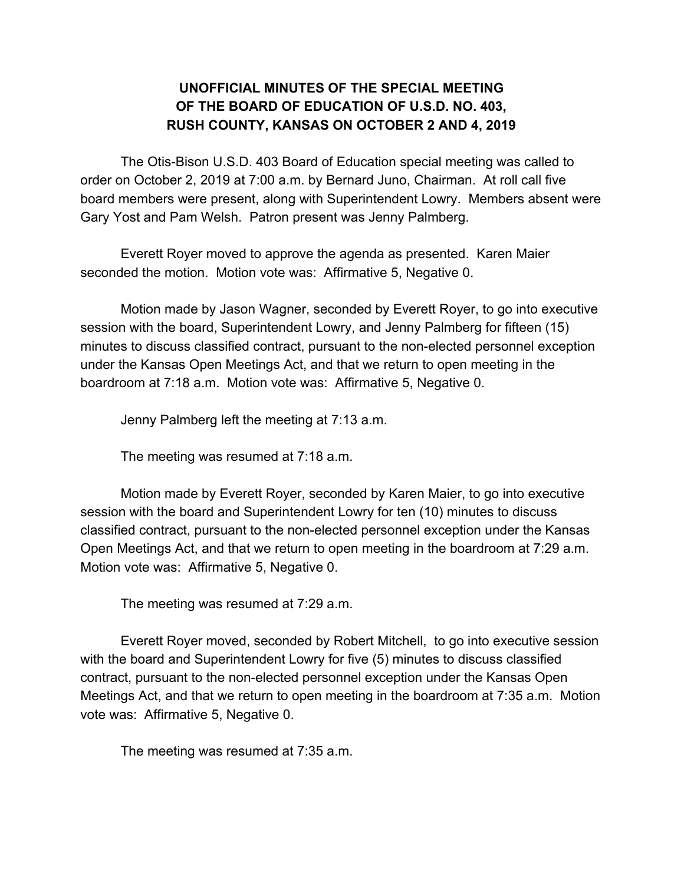## **UNOFFICIAL MINUTES OF THE SPECIAL MEETING OF THE BOARD OF EDUCATION OF U.S.D. NO. 403, RUSH COUNTY, KANSAS ON OCTOBER 2 AND 4, 2019**

The Otis-Bison U.S.D. 403 Board of Education special meeting was called to order on October 2, 2019 at 7:00 a.m. by Bernard Juno, Chairman. At roll call five board members were present, along with Superintendent Lowry. Members absent were Gary Yost and Pam Welsh. Patron present was Jenny Palmberg.

Everett Royer moved to approve the agenda as presented. Karen Maier seconded the motion. Motion vote was: Affirmative 5, Negative 0.

Motion made by Jason Wagner, seconded by Everett Royer, to go into executive session with the board, Superintendent Lowry, and Jenny Palmberg for fifteen (15) minutes to discuss classified contract, pursuant to the non-elected personnel exception under the Kansas Open Meetings Act, and that we return to open meeting in the boardroom at 7:18 a.m. Motion vote was: Affirmative 5, Negative 0.

Jenny Palmberg left the meeting at 7:13 a.m.

The meeting was resumed at 7:18 a.m.

Motion made by Everett Royer, seconded by Karen Maier, to go into executive session with the board and Superintendent Lowry for ten (10) minutes to discuss classified contract, pursuant to the non-elected personnel exception under the Kansas Open Meetings Act, and that we return to open meeting in the boardroom at 7:29 a.m. Motion vote was: Affirmative 5, Negative 0.

The meeting was resumed at 7:29 a.m.

Everett Royer moved, seconded by Robert Mitchell, to go into executive session with the board and Superintendent Lowry for five (5) minutes to discuss classified contract, pursuant to the non-elected personnel exception under the Kansas Open Meetings Act, and that we return to open meeting in the boardroom at 7:35 a.m. Motion vote was: Affirmative 5, Negative 0.

The meeting was resumed at 7:35 a.m.